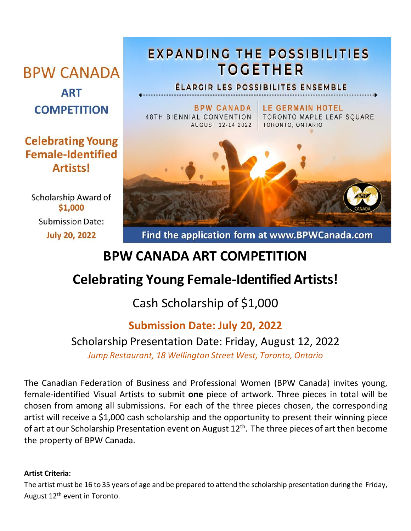# **BPW CANADA ART**

**COMPETITION** 

### **Celebrating Young Female-Identified Artists!**

Scholarship Award of \$1,000 **Submission Date: July 20, 2022** 

## **EXPANDING THE POSSIBILITIES TOGETHER**

ÉLARGIR LES POSSIBILITES ENSEMBLE

**BPW CANADA** 48TH BIENNIAL CONVENTION AUGUST 12-14 2022

**LE GERMAIN HOTEL** TORONTO MAPLE LEAF SQUARE TORONTO, ONTARIO



Find the application form at www.BPWCanada.com

## **BPW CANADA ART COMPETITION**

## **Celebrating Young Female-Identified Artists!**

Cash Scholarship of \$1,000

### **Submission Date: July 20, 2022**

## Scholarship Presentation Date: Friday, August 12, 2022

*Jump Restaurant, 18 Wellington Street West, Toronto, Ontario*

The Canadian Federation of Business and Professional Women (BPW Canada) invites young, female-identified Visual Artists to submit **one** piece of artwork. Three pieces in total will be chosen from among all submissions. For each of the three pieces chosen, the corresponding artist will receive a \$1,000 cash scholarship and the opportunity to present their winning piece of art at our Scholarship Presentation event on August  $12^{th}$ . The three pieces of art then become the property of BPW Canada.

#### **Artist Criteria:**

The artist must be 16 to 35 years of age and be prepared to attend the scholarship presentation during the Friday, August 12<sup>th</sup> event in Toronto.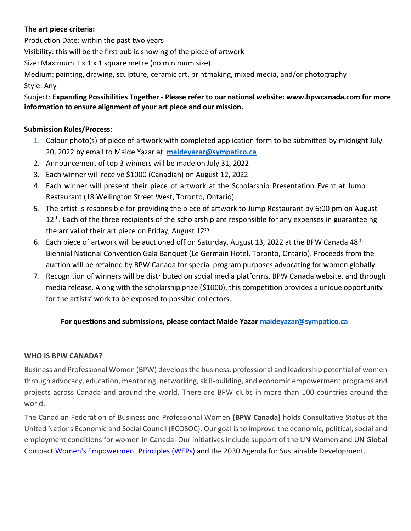#### **The art piece criteria:**

Production Date: within the past two years Visibility: this will be the first public showing of the piece of artwork Size: Maximum 1 x 1 x 1 square metre (no minimum size) Medium: painting, drawing, sculpture, ceramic art, printmaking, mixed media, and/or photography Style: Any

#### Subject: **Expanding Possibilities Together - Please refer to our national website: www.bpwcanada.com for more information to ensure alignment of your art piece and our mission.**

#### **Submission Rules/Process:**

- 1. Colour photo(s) of piece of artwork with completed application form to be submitted by midnight July 20, 2022 by email to Maide Yazar at **maideyazar@sympatico.ca**
- 2. Announcement of top 3 winners will be made on July 31, 2022
- 3. Each winner will receive \$1000 (Canadian) on August 12, 2022
- 4. Each winner will present their piece of artwork at the Scholarship Presentation Event at Jump Restaurant (18 Wellington Street West, Toronto, Ontario).
- 5. The artist is responsible for providing the piece of artwork to Jump Restaurant by 6:00 pm on August  $12<sup>th</sup>$ . Each of the three recipients of the scholarship are responsible for any expenses in guaranteeing the arrival of their art piece on Friday, August 12<sup>th</sup>.
- 6. Each piece of artwork will be auctioned off on Saturday, August 13, 2022 at the BPW Canada 48<sup>th</sup> Biennial National Convention Gala Banquet (Le Germain Hotel, Toronto, Ontario). Proceeds from the auction will be retained by BPW Canada for special program purposes advocating for women globally.
- 7. Recognition of winners will be distributed on social media platforms, BPW Canada website, and through media release. Along with the scholarship prize (\$1000), this competition provides a unique opportunity for the artists' work to be exposed to possible collectors.

#### **For questions and submissions, please contact Maide Yazar maideyazar@sympatico.ca**

#### **WHO IS BPW CANADA?**

Business and Professional Women (BPW) develops the business, professional and leadership potential of women through advocacy, education, mentoring, networking, skill-building, and economic empowerment programs and projects across Canada and around the world. There are BPW clubs in more than 100 countries around the world.

The Canadian Federation of Business and Professional Women **(BPW Canada)** holds Consultative Status at the United Nations Economic and Social Council (ECOSOC). Our goal is to improve the economic, political, social and employment conditions for women in Canada. Our initiatives include support of the UN Women and UN Global Compact Women's Empowerment Principles (WEPs) and the 2030 Agenda for Sustainable Development.